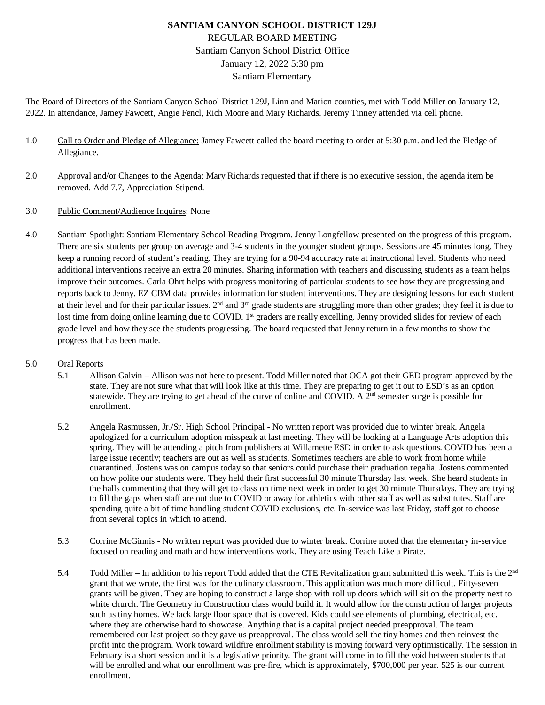# **SANTIAM CANYON SCHOOL DISTRICT 129J** REGULAR BOARD MEETING Santiam Canyon School District Office January 12, 2022 5:30 pm Santiam Elementary

The Board of Directors of the Santiam Canyon School District 129J, Linn and Marion counties, met with Todd Miller on January 12, 2022. In attendance, Jamey Fawcett, Angie Fencl, Rich Moore and Mary Richards. Jeremy Tinney attended via cell phone.

- 1.0 Call to Order and Pledge of Allegiance: Jamey Fawcett called the board meeting to order at 5:30 p.m. and led the Pledge of Allegiance.
- 2.0 Approval and/or Changes to the Agenda: Mary Richards requested that if there is no executive session, the agenda item be removed. Add 7.7, Appreciation Stipend.
- 3.0 Public Comment/Audience Inquires: None
- 4.0 Santiam Spotlight: Santiam Elementary School Reading Program. Jenny Longfellow presented on the progress of this program. There are six students per group on average and 3-4 students in the younger student groups. Sessions are 45 minutes long. They keep a running record of student's reading. They are trying for a 90-94 accuracy rate at instructional level. Students who need additional interventions receive an extra 20 minutes. Sharing information with teachers and discussing students as a team helps improve their outcomes. Carla Ohrt helps with progress monitoring of particular students to see how they are progressing and reports back to Jenny. EZ CBM data provides information for student interventions. They are designing lessons for each student at their level and for their particular issues.  $2<sup>nd</sup>$  and  $3<sup>rd</sup>$  grade students are struggling more than other grades; they feel it is due to lost time from doing online learning due to COVID.  $1<sup>st</sup>$  graders are really excelling. Jenny provided slides for review of each grade level and how they see the students progressing. The board requested that Jenny return in a few months to show the progress that has been made.

#### 5.0 Oral Reports

- 5.1 Allison Galvin Allison was not here to present. Todd Miller noted that OCA got their GED program approved by the state. They are not sure what that will look like at this time. They are preparing to get it out to ESD's as an option statewide. They are trying to get ahead of the curve of online and COVID. A 2<sup>nd</sup> semester surge is possible for enrollment.
- 5.2 Angela Rasmussen, Jr./Sr. High School Principal No written report was provided due to winter break. Angela apologized for a curriculum adoption misspeak at last meeting. They will be looking at a Language Arts adoption this spring. They will be attending a pitch from publishers at Willamette ESD in order to ask questions. COVID has been a large issue recently; teachers are out as well as students. Sometimes teachers are able to work from home while quarantined. Jostens was on campus today so that seniors could purchase their graduation regalia. Jostens commented on how polite our students were. They held their first successful 30 minute Thursday last week. She heard students in the halls commenting that they will get to class on time next week in order to get 30 minute Thursdays. They are trying to fill the gaps when staff are out due to COVID or away for athletics with other staff as well as substitutes. Staff are spending quite a bit of time handling student COVID exclusions, etc. In-service was last Friday, staff got to choose from several topics in which to attend.
- 5.3 Corrine McGinnis No written report was provided due to winter break. Corrine noted that the elementary in-service focused on reading and math and how interventions work. They are using Teach Like a Pirate.
- 5.4 Todd Miller In addition to his report Todd added that the CTE Revitalization grant submitted this week. This is the 2<sup>nd</sup> grant that we wrote, the first was for the culinary classroom. This application was much more difficult. Fifty-seven grants will be given. They are hoping to construct a large shop with roll up doors which will sit on the property next to white church. The Geometry in Construction class would build it. It would allow for the construction of larger projects such as tiny homes. We lack large floor space that is covered. Kids could see elements of plumbing, electrical, etc. where they are otherwise hard to showcase. Anything that is a capital project needed preapproval. The team remembered our last project so they gave us preapproval. The class would sell the tiny homes and then reinvest the profit into the program. Work toward wildfire enrollment stability is moving forward very optimistically. The session in February is a short session and it is a legislative priority. The grant will come in to fill the void between students that will be enrolled and what our enrollment was pre-fire, which is approximately, \$700,000 per year. 525 is our current enrollment.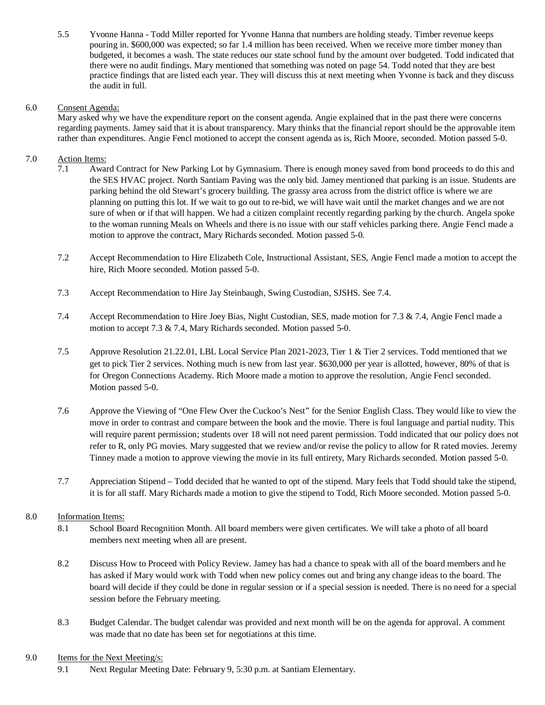5.5 Yvonne Hanna - Todd Miller reported for Yvonne Hanna that numbers are holding steady. Timber revenue keeps pouring in. \$600,000 was expected; so far 1.4 million has been received. When we receive more timber money than budgeted, it becomes a wash. The state reduces our state school fund by the amount over budgeted. Todd indicated that there were no audit findings. Mary mentioned that something was noted on page 54. Todd noted that they are best practice findings that are listed each year. They will discuss this at next meeting when Yvonne is back and they discuss the audit in full.

#### 6.0 Consent Agenda:

Mary asked why we have the expenditure report on the consent agenda. Angie explained that in the past there were concerns regarding payments. Jamey said that it is about transparency. Mary thinks that the financial report should be the approvable item rather than expenditures. Angie Fencl motioned to accept the consent agenda as is, Rich Moore, seconded. Motion passed 5-0.

### 7.0 Action Items:

- 7.1 Award Contract for New Parking Lot by Gymnasium. There is enough money saved from bond proceeds to do this and the SES HVAC project. North Santiam Paving was the only bid. Jamey mentioned that parking is an issue. Students are parking behind the old Stewart's grocery building. The grassy area across from the district office is where we are planning on putting this lot. If we wait to go out to re-bid, we will have wait until the market changes and we are not sure of when or if that will happen. We had a citizen complaint recently regarding parking by the church. Angela spoke to the woman running Meals on Wheels and there is no issue with our staff vehicles parking there. Angie Fencl made a motion to approve the contract, Mary Richards seconded. Motion passed 5-0.
- 7.2 Accept Recommendation to Hire Elizabeth Cole, Instructional Assistant, SES, Angie Fencl made a motion to accept the hire, Rich Moore seconded. Motion passed 5-0.
- 7.3 Accept Recommendation to Hire Jay Steinbaugh, Swing Custodian, SJSHS. See 7.4.
- 7.4 Accept Recommendation to Hire Joey Bias, Night Custodian, SES, made motion for 7.3 & 7.4, Angie Fencl made a motion to accept 7.3 & 7.4, Mary Richards seconded. Motion passed 5-0.
- 7.5 Approve Resolution 21.22.01, LBL Local Service Plan 2021-2023, Tier 1 & Tier 2 services. Todd mentioned that we get to pick Tier 2 services. Nothing much is new from last year. \$630,000 per year is allotted, however, 80% of that is for Oregon Connections Academy. Rich Moore made a motion to approve the resolution, Angie Fencl seconded. Motion passed 5-0.
- 7.6 Approve the Viewing of "One Flew Over the Cuckoo's Nest" for the Senior English Class. They would like to view the move in order to contrast and compare between the book and the movie. There is foul language and partial nudity. This will require parent permission; students over 18 will not need parent permission. Todd indicated that our policy does not refer to R, only PG movies. Mary suggested that we review and/or revise the policy to allow for R rated movies. Jeremy Tinney made a motion to approve viewing the movie in its full entirety, Mary Richards seconded. Motion passed 5-0.
- 7.7 Appreciation Stipend Todd decided that he wanted to opt of the stipend. Mary feels that Todd should take the stipend, it is for all staff. Mary Richards made a motion to give the stipend to Todd, Rich Moore seconded. Motion passed 5-0.

## 8.0 Information Items:

- 8.1 School Board Recognition Month. All board members were given certificates. We will take a photo of all board members next meeting when all are present.
- 8.2 Discuss How to Proceed with Policy Review. Jamey has had a chance to speak with all of the board members and he has asked if Mary would work with Todd when new policy comes out and bring any change ideas to the board. The board will decide if they could be done in regular session or if a special session is needed. There is no need for a special session before the February meeting.
- 8.3 Budget Calendar. The budget calendar was provided and next month will be on the agenda for approval. A comment was made that no date has been set for negotiations at this time.

#### 9.0 Items for the Next Meeting/s:

9.1 Next Regular Meeting Date: February 9, 5:30 p.m. at Santiam Elementary.